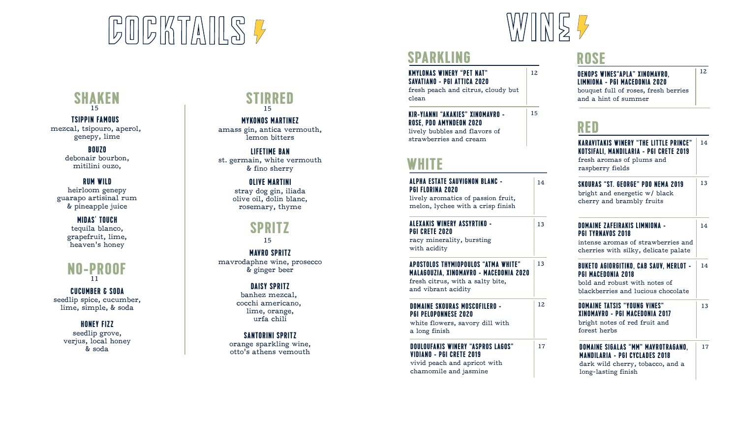# **GOGKTAILS 7**



12

15

## **SPARKLING**

**KMYLONAS WINERY "PET NAT" SAVATIANO - PGI ATTICA 2020**

fresh peach and citrus, cloudy but clean

**KIR-YIANNI "AKAKIES" XINOMAVRO - ROSE, PDO AMYNDEON 2020** lively bubbles and flavors of strawberries and cream

### **WHITE**

| ALPHA ESTATE SAUVIGNON BLANC -<br>PGI FLORINA 2020<br>lively aromatics of passion fruit,<br>melon, lychee with a crisp finish            | 14  |
|------------------------------------------------------------------------------------------------------------------------------------------|-----|
| ALEXAKIS WINERY ASSYRTIKO -<br>PGI CRETE 2020<br>racy minerality, bursting<br>with acidity                                               | 13  |
| APOSTOLOS THYMIOPOULOS "ATMA WHITE"<br>MALAGOUZIA, XINOMAVRO - MACEDONIA 2020<br>fresh citrus, with a salty bite,<br>and vibrant acidity | 13  |
| DOMAINE SKOURAS MOSCOFILERO -                                                                                                            | 12. |

#### **DOMAINE SKOURAS MOSCOFILERO - PGI PELOPONNESE 2020**

#### **DOULOUFAKIS WINERY "ASPROS LAGOS" VIDIANO - PGI CRETE 2019**

## **ROSE**



and a hint of summer

## **RED**

| strawberries and cream<br>WHITE                                                                                                                 |    | <b>KARAVITAKIS WINERY "THE LITTLE PRINCE"</b><br>KOTSIFALI, MANDILARIA - PGI CRETE 2019<br>fresh aromas of plums and<br>raspberry fields          | 14 |
|-------------------------------------------------------------------------------------------------------------------------------------------------|----|---------------------------------------------------------------------------------------------------------------------------------------------------|----|
| ALPHA ESTATE SAUVIGNON BLANC -<br>PGI FLORINA 2020<br>lively aromatics of passion fruit,<br>melon, lychee with a crisp finish                   | 14 | <b>SKOURAS "ST. GEORGE" PDO NEMA 2019</b><br>bright and energetic w/ black<br>cherry and brambly fruits                                           | 13 |
| ALEXAKIS WINERY ASSYRTIKO -<br><b>PGI CRETE 2020</b><br>racy minerality, bursting<br>with acidity                                               | 13 | <b>DOMAINE ZAFEIRAKIS LIMNIONA -</b><br><b>PGI TYRNAVOS 2018</b><br>intense aromas of strawberries and<br>cherries with silky, delicate palate    | 14 |
| <b>APOSTOLOS THYMIOPOULOS "ATMA WHITE"</b><br>MALAGOUZIA, XINOMAVRO - MACEDONIA 2020<br>fresh citrus, with a salty bite,<br>and vibrant acidity | 13 | <b>BUKETO AGIORGITIKO, CAB SAUV, MERLOT -</b><br><b>PGI MACEDONIA 2018</b><br>bold and robust with notes of<br>blackberries and lucious chocolate | 14 |
| DOMAINE SKOURAS MOSCOFILERO -<br><b>PGI PELOPONNESE 2020</b><br>white flowers, savory dill with<br>a long finish                                | 12 | <b>DOMAINE TATSIS "YOUNG VINES"</b><br><b>XINOMAVRO - PGI MACEDONIA 2017</b><br>bright notes of red fruit and<br>forest herbs                     | 13 |
| <b>DOULOUFAKIS WINERY "ASPROS LAGOS"</b><br>VIDIANO - PGI CRETE 2019<br>vivid peach and apricot with<br>chamomile and jasmine                   | 17 | DOMAINE SIGALAS "MM" MAVROTRAGANO,<br><b>MANDILARIA - PGI CYCLADES 2018</b><br>dark wild cherry, tobacco, and a<br>long-lasting finish            | 17 |

**SHAKEN** 15 15

**TSIPPIN FAMOUS**  mezcal, tsipouro, aperol, genepy, lime

> **BOUZO**  debonair bourbon, mitilini ouzo,

#### **RUM WILD**

heirloom genepy guarapo artisinal rum & pineapple juice

> **MIDAS' TOUCH** tequila blanco, grapefruit, lime, heaven's honey



**CUCUMBER & SODA** seedlip spice, cucumber, lime, simple, & soda

#### **HONEY FIZZ**

seedlip grove, verjus, local honey & soda

## **STIRRED**

**MYKONOS MARTINEZ** amass gin, antica vermouth,

lemon bitters

**LIFETIME BAN** st. germain, white vermouth & fino sherry

**OLIVE MARTINI**

stray dog gin, iliada olive oil, dolin blanc, rosemary, thyme

#### **SPRITZ** 15

**MAVRO SPRITZ** mavrodaphne wine, prosecco & ginger beer

#### **DAISY SPRITZ**

banhez mezcal, cocchi americano, lime, orange, urfa chili

#### **SANTORINI SPRITZ**

orange sparkling wine, otto's athens vemouth